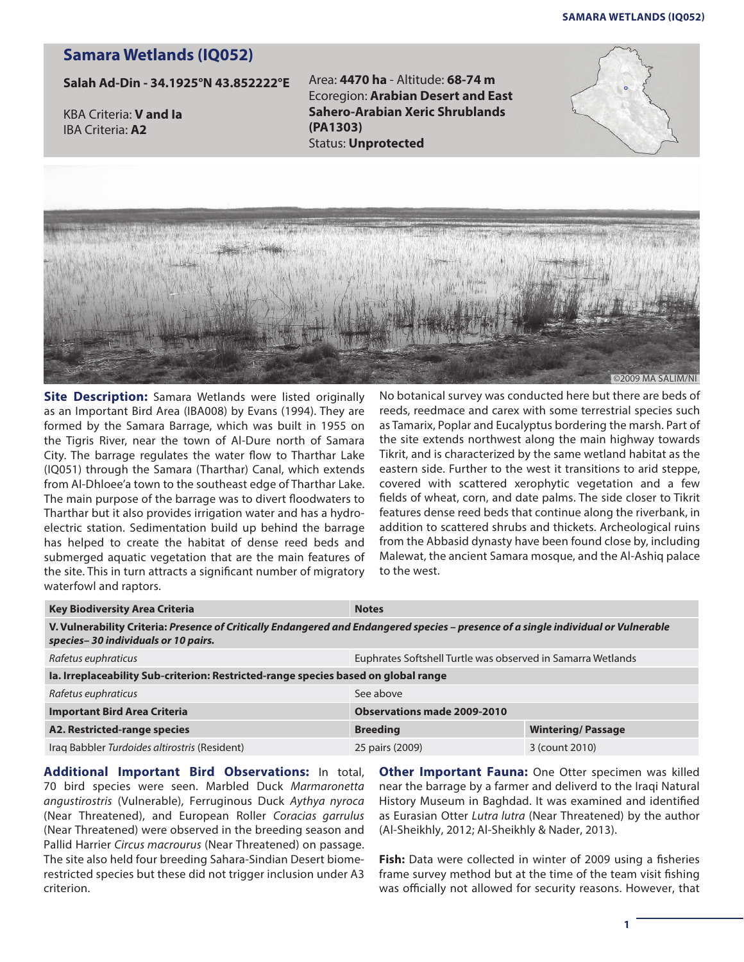## **Samara Wetlands (iq052)**

## **Samara Wetlands (IQ052)**

**Salah Ad-Din - 34.1925°N 43.852222°E**

KBA Criteria: **V and Ia** IBA Criteria: **A2**

Area: **4470 ha** - Altitude: **68-74 m** Ecoregion: **Arabian Desert and East Sahero-Arabian Xeric Shrublands (PA1303)** Status: **Unprotected** 





**Site Description:** Samara Wetlands were listed originally as an Important Bird Area (IBA008) by Evans (1994). They are formed by the Samara Barrage, which was built in 1955 on the Tigris River, near the town of Al-Dure north of Samara City. The barrage regulates the water flow to Tharthar Lake (IQ051) through the Samara (Tharthar) Canal, which extends from Al-Dhloee'a town to the southeast edge of Tharthar Lake. The main purpose of the barrage was to divert floodwaters to Tharthar but it also provides irrigation water and has a hydroelectric station. Sedimentation build up behind the barrage has helped to create the habitat of dense reed beds and submerged aquatic vegetation that are the main features of the site. This in turn attracts a significant number of migratory waterfowl and raptors.

No botanical survey was conducted here but there are beds of reeds, reedmace and carex with some terrestrial species such as Tamarix, Poplar and Eucalyptus bordering the marsh. Part of the site extends northwest along the main highway towards Tikrit, and is characterized by the same wetland habitat as the eastern side. Further to the west it transitions to arid steppe, covered with scattered xerophytic vegetation and a few fields of wheat, corn, and date palms. The side closer to Tikrit features dense reed beds that continue along the riverbank, in addition to scattered shrubs and thickets. Archeological ruins from the Abbasid dynasty have been found close by, including Malewat, the ancient Samara mosque, and the Al-Ashiq palace to the west.

| <b>Key Biodiversity Area Criteria</b>                                                                                                                                      | <b>Notes</b>                                                |                          |
|----------------------------------------------------------------------------------------------------------------------------------------------------------------------------|-------------------------------------------------------------|--------------------------|
| V. Vulnerability Criteria: Presence of Critically Endangered and Endangered species - presence of a single individual or Vulnerable<br>species-30 individuals or 10 pairs. |                                                             |                          |
| Rafetus euphraticus                                                                                                                                                        | Euphrates Softshell Turtle was observed in Samarra Wetlands |                          |
| Ia. Irreplaceability Sub-criterion: Restricted-range species based on global range                                                                                         |                                                             |                          |
| Rafetus euphraticus                                                                                                                                                        | See above                                                   |                          |
| <b>Important Bird Area Criteria</b>                                                                                                                                        | <b>Observations made 2009-2010</b>                          |                          |
| A2. Restricted-range species                                                                                                                                               | <b>Breeding</b>                                             | <b>Wintering/Passage</b> |
| Iraq Babbler Turdoides altirostris (Resident)                                                                                                                              | 25 pairs (2009)                                             | 3 (count 2010)           |

**Additional Important Bird Observations:** In total, 70 bird species were seen. Marbled Duck *Marmaronetta angustirostris* (Vulnerable), Ferruginous Duck *Aythya nyroca* (Near Threatened), and European Roller *Coracias garrulus* (Near Threatened) were observed in the breeding season and Pallid Harrier *Circus macrourus* (Near Threatened) on passage. The site also held four breeding Sahara-Sindian Desert biomerestricted species but these did not trigger inclusion under A3 criterion.

**Other Important Fauna:** One Otter specimen was killed near the barrage by a farmer and deliverd to the Iraqi Natural History Museum in Baghdad. It was examined and identified as Eurasian Otter *Lutra lutra* (Near Threatened) by the author (Al-Sheikhly, 2012; Al-Sheikhly & Nader, 2013).

**Fish:** Data were collected in winter of 2009 using a fisheries frame survey method but at the time of the team visit fishing was officially not allowed for security reasons. However, that